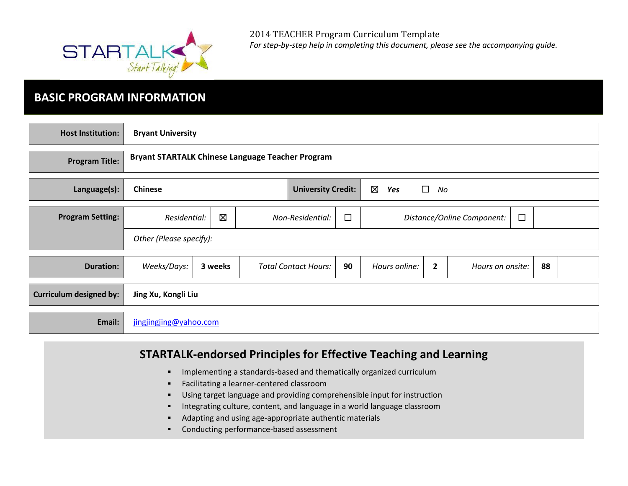

# **BASIC PROGRAM INFORMATION**

| <b>Host Institution:</b>       | <b>Bryant University</b>                                                          |                                                         |                             |    |               |                |                                      |    |  |
|--------------------------------|-----------------------------------------------------------------------------------|---------------------------------------------------------|-----------------------------|----|---------------|----------------|--------------------------------------|----|--|
| <b>Program Title:</b>          |                                                                                   | <b>Bryant STARTALK Chinese Language Teacher Program</b> |                             |    |               |                |                                      |    |  |
| Language(s):                   | $\boxtimes$<br>$\Box$<br><b>Chinese</b><br><b>University Credit:</b><br>Yes<br>No |                                                         |                             |    |               |                |                                      |    |  |
| <b>Program Setting:</b>        | Residential:                                                                      | $\boxtimes$<br>$\Box$<br>Non-Residential:               |                             |    |               |                | $\Box$<br>Distance/Online Component: |    |  |
|                                | Other (Please specify):                                                           |                                                         |                             |    |               |                |                                      |    |  |
| <b>Duration:</b>               | Weeks/Days:                                                                       | 3 weeks                                                 | <b>Total Contact Hours:</b> | 90 | Hours online: | $\overline{2}$ | Hours on onsite:                     | 88 |  |
| <b>Curriculum designed by:</b> | Jing Xu, Kongli Liu                                                               |                                                         |                             |    |               |                |                                      |    |  |
| Email:                         | jingjingjing@yahoo.com                                                            |                                                         |                             |    |               |                |                                      |    |  |

# **STARTALK-endorsed Principles for Effective Teaching and Learning**

- Implementing a standards-based and thematically organized curriculum
- **Facilitating a learner-centered classroom**
- Using target language and providing comprehensible input for instruction
- **Integrating culture, content, and language in a world language classroom**
- Adapting and using age-appropriate authentic materials
- Conducting performance-based assessment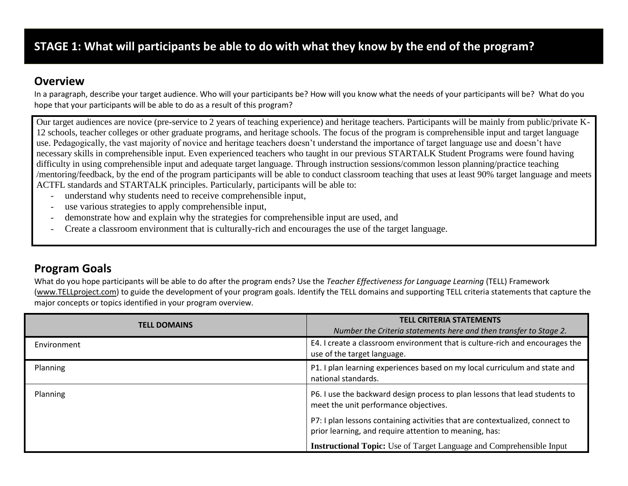# **STAGE 1: What will participants be able to do with what they know by the end of the program?**

### **Overview**

In a paragraph, describe your target audience. Who will your participants be? How will you know what the needs of your participants will be? What do you hope that your participants will be able to do as a result of this program?

Our target audiences are novice (pre-service to 2 years of teaching experience) and heritage teachers. Participants will be mainly from public/private K-12 schools, teacher colleges or other graduate programs, and heritage schools. The focus of the program is comprehensible input and target language use. Pedagogically, the vast majority of novice and heritage teachers doesn't understand the importance of target language use and doesn't have necessary skills in comprehensible input. Even experienced teachers who taught in our previous STARTALK Student Programs were found having difficulty in using comprehensible input and adequate target language. Through instruction sessions/common lesson planning/practice teaching /mentoring/feedback, by the end of the program participants will be able to conduct classroom teaching that uses at least 90% target language and meets ACTFL standards and STARTALK principles. Particularly, participants will be able to:

- understand why students need to receive comprehensible input,
- use various strategies to apply comprehensible input,
- demonstrate how and explain why the strategies for comprehensible input are used, and
- Create a classroom environment that is culturally-rich and encourages the use of the target language.

# **Program Goals**

What do you hope participants will be able to do after the program ends? Use the *Teacher Effectiveness for Language Learning* (TELL) Framework [\(www.TELLproject.com\)](http://www.tellproject.com/) to guide the development of your program goals. Identify the TELL domains and supporting TELL criteria statements that capture the major concepts or topics identified in your program overview.

| <b>TELL DOMAINS</b> | <b>TELL CRITERIA STATEMENTS</b><br>Number the Criteria statements here and then transfer to Stage 2.                                   |
|---------------------|----------------------------------------------------------------------------------------------------------------------------------------|
| Environment         | E4. I create a classroom environment that is culture-rich and encourages the<br>use of the target language.                            |
| Planning            | P1. I plan learning experiences based on my local curriculum and state and<br>national standards.                                      |
| Planning            | P6. I use the backward design process to plan lessons that lead students to<br>meet the unit performance objectives.                   |
|                     | P7: I plan lessons containing activities that are contextualized, connect to<br>prior learning, and require attention to meaning, has: |
|                     | <b>Instructional Topic:</b> Use of Target Language and Comprehensible Input                                                            |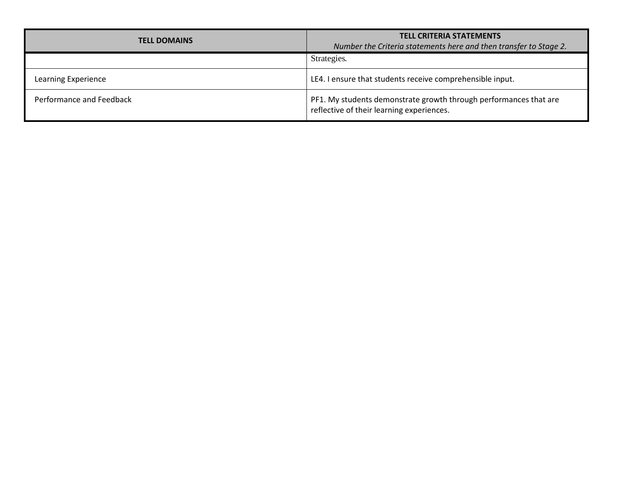| <b>TELL DOMAINS</b>      | <b>TELL CRITERIA STATEMENTS</b><br>Number the Criteria statements here and then transfer to Stage 2.           |  |  |
|--------------------------|----------------------------------------------------------------------------------------------------------------|--|--|
|                          | Strategies.                                                                                                    |  |  |
| Learning Experience      | LE4. I ensure that students receive comprehensible input.                                                      |  |  |
| Performance and Feedback | PF1. My students demonstrate growth through performances that are<br>reflective of their learning experiences. |  |  |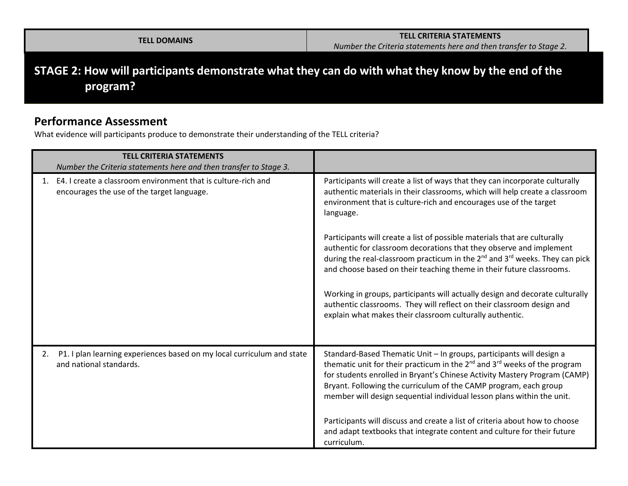**STAGE 2: How will participants demonstrate what they can do with what they know by the end of the program?**

### **Performance Assessment**

What evidence will participants produce to demonstrate their understanding of the TELL criteria?

|    | <b>TELL CRITERIA STATEMENTS</b><br>Number the Criteria statements here and then transfer to Stage 3.        |                                                                                                                                                                                                                                                                                                                                                                                                                                                                                                                                                                                                                                                                                                                                                                                                       |
|----|-------------------------------------------------------------------------------------------------------------|-------------------------------------------------------------------------------------------------------------------------------------------------------------------------------------------------------------------------------------------------------------------------------------------------------------------------------------------------------------------------------------------------------------------------------------------------------------------------------------------------------------------------------------------------------------------------------------------------------------------------------------------------------------------------------------------------------------------------------------------------------------------------------------------------------|
|    | E4. I create a classroom environment that is culture-rich and<br>encourages the use of the target language. | Participants will create a list of ways that they can incorporate culturally<br>authentic materials in their classrooms, which will help create a classroom<br>environment that is culture-rich and encourages use of the target<br>language.<br>Participants will create a list of possible materials that are culturally<br>authentic for classroom decorations that they observe and implement<br>during the real-classroom practicum in the 2 <sup>nd</sup> and 3 <sup>rd</sup> weeks. They can pick<br>and choose based on their teaching theme in their future classrooms.<br>Working in groups, participants will actually design and decorate culturally<br>authentic classrooms. They will reflect on their classroom design and<br>explain what makes their classroom culturally authentic. |
| 2. | P1. I plan learning experiences based on my local curriculum and state<br>and national standards.           | Standard-Based Thematic Unit - In groups, participants will design a<br>thematic unit for their practicum in the 2 <sup>nd</sup> and 3 <sup>rd</sup> weeks of the program<br>for students enrolled in Bryant's Chinese Activity Mastery Program (CAMP)<br>Bryant. Following the curriculum of the CAMP program, each group<br>member will design sequential individual lesson plans within the unit.<br>Participants will discuss and create a list of criteria about how to choose<br>and adapt textbooks that integrate content and culture for their future<br>curriculum.                                                                                                                                                                                                                         |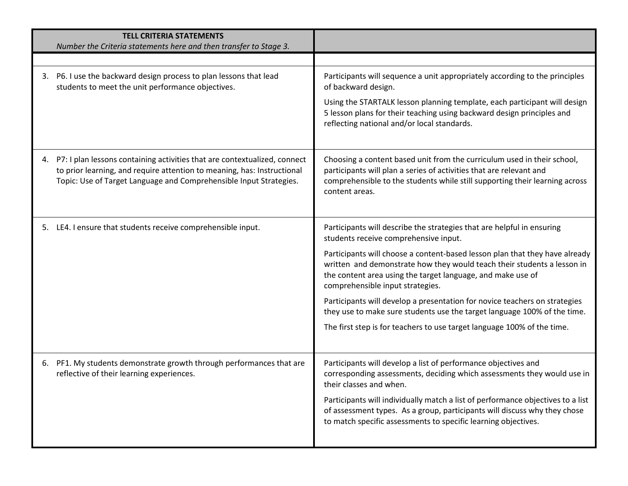| <b>TELL CRITERIA STATEMENTS</b><br>Number the Criteria statements here and then transfer to Stage 3.                                                                                                                          |                                                                                                                                                                                                                                                           |
|-------------------------------------------------------------------------------------------------------------------------------------------------------------------------------------------------------------------------------|-----------------------------------------------------------------------------------------------------------------------------------------------------------------------------------------------------------------------------------------------------------|
|                                                                                                                                                                                                                               |                                                                                                                                                                                                                                                           |
| 3. P6. I use the backward design process to plan lessons that lead<br>students to meet the unit performance objectives.                                                                                                       | Participants will sequence a unit appropriately according to the principles<br>of backward design.                                                                                                                                                        |
|                                                                                                                                                                                                                               | Using the STARTALK lesson planning template, each participant will design<br>5 lesson plans for their teaching using backward design principles and<br>reflecting national and/or local standards.                                                        |
| 4. P7: I plan lessons containing activities that are contextualized, connect<br>to prior learning, and require attention to meaning, has: Instructional<br>Topic: Use of Target Language and Comprehensible Input Strategies. | Choosing a content based unit from the curriculum used in their school,<br>participants will plan a series of activities that are relevant and<br>comprehensible to the students while still supporting their learning across<br>content areas.           |
| 5. LE4. I ensure that students receive comprehensible input.                                                                                                                                                                  | Participants will describe the strategies that are helpful in ensuring<br>students receive comprehensive input.                                                                                                                                           |
|                                                                                                                                                                                                                               | Participants will choose a content-based lesson plan that they have already<br>written and demonstrate how they would teach their students a lesson in<br>the content area using the target language, and make use of<br>comprehensible input strategies. |
|                                                                                                                                                                                                                               | Participants will develop a presentation for novice teachers on strategies<br>they use to make sure students use the target language 100% of the time.                                                                                                    |
|                                                                                                                                                                                                                               | The first step is for teachers to use target language 100% of the time.                                                                                                                                                                                   |
| 6. PF1. My students demonstrate growth through performances that are<br>reflective of their learning experiences.                                                                                                             | Participants will develop a list of performance objectives and<br>corresponding assessments, deciding which assessments they would use in<br>their classes and when.                                                                                      |
|                                                                                                                                                                                                                               | Participants will individually match a list of performance objectives to a list<br>of assessment types. As a group, participants will discuss why they chose<br>to match specific assessments to specific learning objectives.                            |
|                                                                                                                                                                                                                               |                                                                                                                                                                                                                                                           |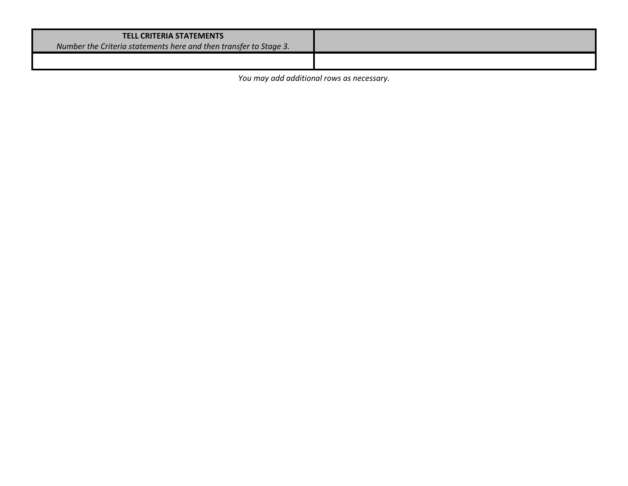#### **TELL CRITERIA STATEMENTS**

*Number the Criteria statements here and then transfer to Stage 3.* 

*You may add additional rows as necessary.*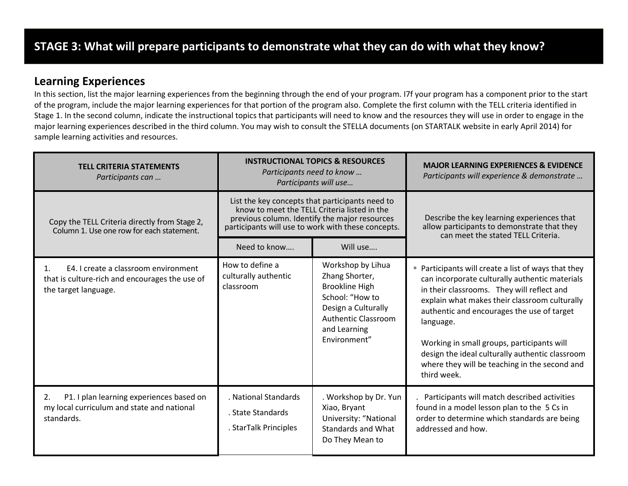### **Learning Experiences**

In this section, list the major learning experiences from the beginning through the end of your program. I7f your program has a component prior to the start of the program, include the major learning experiences for that portion of the program also. Complete the first column with the TELL criteria identified in Stage 1. In the second column, indicate the instructional topics that participants will need to know and the resources they will use in order to engage in the major learning experiences described in the third column. You may wish to consult the STELLA documents (on STARTALK website in early April 2014) for sample learning activities and resources.

| <b>TELL CRITERIA STATEMENTS</b><br>Participants can                                                                              |                                                                                                                                                                                                        | <b>INSTRUCTIONAL TOPICS &amp; RESOURCES</b><br>Participants need to know<br>Participants will use                                                                    | <b>MAJOR LEARNING EXPERIENCES &amp; EVIDENCE</b><br>Participants will experience & demonstrate                                                                                                                                                                                                                                                                                                                                   |  |
|----------------------------------------------------------------------------------------------------------------------------------|--------------------------------------------------------------------------------------------------------------------------------------------------------------------------------------------------------|----------------------------------------------------------------------------------------------------------------------------------------------------------------------|----------------------------------------------------------------------------------------------------------------------------------------------------------------------------------------------------------------------------------------------------------------------------------------------------------------------------------------------------------------------------------------------------------------------------------|--|
| Copy the TELL Criteria directly from Stage 2,<br>Column 1. Use one row for each statement.                                       | List the key concepts that participants need to<br>know to meet the TELL Criteria listed in the<br>previous column. Identify the major resources<br>participants will use to work with these concepts. |                                                                                                                                                                      | Describe the key learning experiences that<br>allow participants to demonstrate that they<br>can meet the stated TELL Criteria.                                                                                                                                                                                                                                                                                                  |  |
|                                                                                                                                  | Need to know                                                                                                                                                                                           | Will use                                                                                                                                                             |                                                                                                                                                                                                                                                                                                                                                                                                                                  |  |
| E4. I create a classroom environment<br>$\mathbf{1}$ .<br>that is culture-rich and encourages the use of<br>the target language. | How to define a<br>culturally authentic<br>classroom                                                                                                                                                   | Workshop by Lihua<br>Zhang Shorter,<br><b>Brookline High</b><br>School: "How to<br>Design a Culturally<br><b>Authentic Classroom</b><br>and Learning<br>Environment" | ■ Participants will create a list of ways that they<br>can incorporate culturally authentic materials<br>in their classrooms. They will reflect and<br>explain what makes their classroom culturally<br>authentic and encourages the use of target<br>language.<br>Working in small groups, participants will<br>design the ideal culturally authentic classroom<br>where they will be teaching in the second and<br>third week. |  |
| P1. I plan learning experiences based on<br>2.<br>my local curriculum and state and national<br>standards.                       | . National Standards<br>. State Standards<br>. StarTalk Principles                                                                                                                                     | . Workshop by Dr. Yun<br>Xiao, Bryant<br>University: "National<br><b>Standards and What</b><br>Do They Mean to                                                       | Participants will match described activities<br>found in a model lesson plan to the 5 Cs in<br>order to determine which standards are being<br>addressed and how.                                                                                                                                                                                                                                                                |  |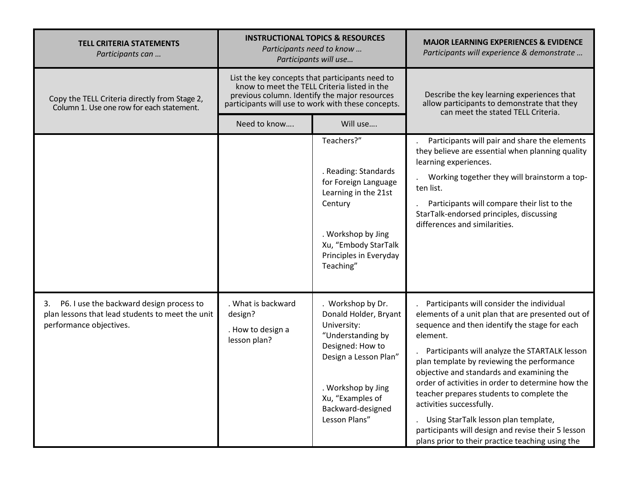| <b>TELL CRITERIA STATEMENTS</b><br>Participants can                                                                           | <b>INSTRUCTIONAL TOPICS &amp; RESOURCES</b><br>Participants need to know<br>Participants will use                                                                                                      |                                                                                                                                                                                                             | <b>MAJOR LEARNING EXPERIENCES &amp; EVIDENCE</b><br>Participants will experience & demonstrate                                                                                                                                                                                                                                                                                                                                                                                                                                                                                          |  |
|-------------------------------------------------------------------------------------------------------------------------------|--------------------------------------------------------------------------------------------------------------------------------------------------------------------------------------------------------|-------------------------------------------------------------------------------------------------------------------------------------------------------------------------------------------------------------|-----------------------------------------------------------------------------------------------------------------------------------------------------------------------------------------------------------------------------------------------------------------------------------------------------------------------------------------------------------------------------------------------------------------------------------------------------------------------------------------------------------------------------------------------------------------------------------------|--|
| Copy the TELL Criteria directly from Stage 2,<br>Column 1. Use one row for each statement.                                    | List the key concepts that participants need to<br>know to meet the TELL Criteria listed in the<br>previous column. Identify the major resources<br>participants will use to work with these concepts. |                                                                                                                                                                                                             | Describe the key learning experiences that<br>allow participants to demonstrate that they<br>can meet the stated TELL Criteria.                                                                                                                                                                                                                                                                                                                                                                                                                                                         |  |
|                                                                                                                               | Need to know                                                                                                                                                                                           | Will use                                                                                                                                                                                                    |                                                                                                                                                                                                                                                                                                                                                                                                                                                                                                                                                                                         |  |
|                                                                                                                               |                                                                                                                                                                                                        | Teachers?"<br>. Reading: Standards<br>for Foreign Language<br>Learning in the 21st<br>Century<br>. Workshop by Jing<br>Xu, "Embody StarTalk<br>Principles in Everyday<br>Teaching"                          | Participants will pair and share the elements<br>they believe are essential when planning quality<br>learning experiences.<br>Working together they will brainstorm a top-<br>ten list.<br>Participants will compare their list to the<br>StarTalk-endorsed principles, discussing<br>differences and similarities.                                                                                                                                                                                                                                                                     |  |
| P6. I use the backward design process to<br>3.<br>plan lessons that lead students to meet the unit<br>performance objectives. | . What is backward<br>design?<br>. How to design a<br>lesson plan?                                                                                                                                     | . Workshop by Dr.<br>Donald Holder, Bryant<br>University:<br>"Understanding by<br>Designed: How to<br>Design a Lesson Plan"<br>. Workshop by Jing<br>Xu, "Examples of<br>Backward-designed<br>Lesson Plans" | Participants will consider the individual<br>elements of a unit plan that are presented out of<br>sequence and then identify the stage for each<br>element.<br>Participants will analyze the STARTALK lesson<br>plan template by reviewing the performance<br>objective and standards and examining the<br>order of activities in order to determine how the<br>teacher prepares students to complete the<br>activities successfully.<br>Using StarTalk lesson plan template,<br>participants will design and revise their 5 lesson<br>plans prior to their practice teaching using the |  |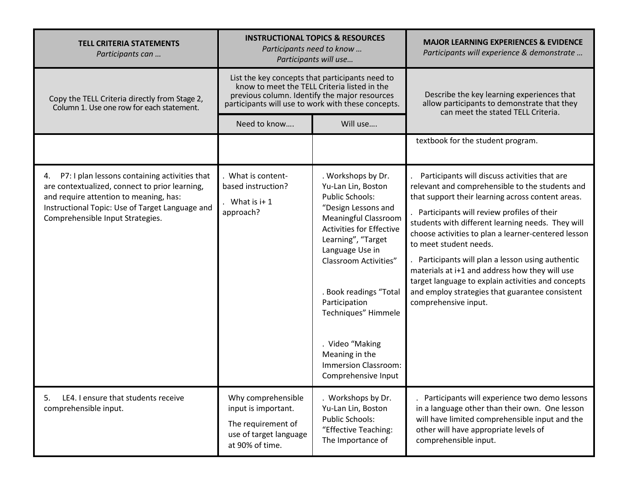| <b>TELL CRITERIA STATEMENTS</b><br>Participants can                                                                                                                                                                                    | <b>INSTRUCTIONAL TOPICS &amp; RESOURCES</b><br>Participants need to know<br>Participants will use                                                                                                      |                                                                                                                                                                                                                                                                                                                                                                                                   | <b>MAJOR LEARNING EXPERIENCES &amp; EVIDENCE</b><br>Participants will experience & demonstrate                                                                                                                                                                                                                                                                                                                                                                                                                                                                                  |  |
|----------------------------------------------------------------------------------------------------------------------------------------------------------------------------------------------------------------------------------------|--------------------------------------------------------------------------------------------------------------------------------------------------------------------------------------------------------|---------------------------------------------------------------------------------------------------------------------------------------------------------------------------------------------------------------------------------------------------------------------------------------------------------------------------------------------------------------------------------------------------|---------------------------------------------------------------------------------------------------------------------------------------------------------------------------------------------------------------------------------------------------------------------------------------------------------------------------------------------------------------------------------------------------------------------------------------------------------------------------------------------------------------------------------------------------------------------------------|--|
| Copy the TELL Criteria directly from Stage 2,<br>Column 1. Use one row for each statement.                                                                                                                                             | List the key concepts that participants need to<br>know to meet the TELL Criteria listed in the<br>previous column. Identify the major resources<br>participants will use to work with these concepts. |                                                                                                                                                                                                                                                                                                                                                                                                   | Describe the key learning experiences that<br>allow participants to demonstrate that they<br>can meet the stated TELL Criteria.                                                                                                                                                                                                                                                                                                                                                                                                                                                 |  |
|                                                                                                                                                                                                                                        | Need to know                                                                                                                                                                                           | Will use                                                                                                                                                                                                                                                                                                                                                                                          |                                                                                                                                                                                                                                                                                                                                                                                                                                                                                                                                                                                 |  |
|                                                                                                                                                                                                                                        |                                                                                                                                                                                                        |                                                                                                                                                                                                                                                                                                                                                                                                   | textbook for the student program.                                                                                                                                                                                                                                                                                                                                                                                                                                                                                                                                               |  |
| P7: I plan lessons containing activities that<br>4.<br>are contextualized, connect to prior learning,<br>and require attention to meaning, has:<br>Instructional Topic: Use of Target Language and<br>Comprehensible Input Strategies. | . What is content-<br>based instruction?<br>What is $i+1$<br>approach?                                                                                                                                 | . Workshops by Dr.<br>Yu-Lan Lin, Boston<br><b>Public Schools:</b><br>"Design Lessons and<br><b>Meaningful Classroom</b><br><b>Activities for Effective</b><br>Learning", "Target<br>Language Use in<br><b>Classroom Activities"</b><br>. Book readings "Total<br>Participation<br>Techniques" Himmele<br>. Video "Making<br>Meaning in the<br><b>Immersion Classroom:</b><br>Comprehensive Input | Participants will discuss activities that are<br>relevant and comprehensible to the students and<br>that support their learning across content areas.<br>Participants will review profiles of their<br>students with different learning needs. They will<br>choose activities to plan a learner-centered lesson<br>to meet student needs.<br>Participants will plan a lesson using authentic<br>materials at i+1 and address how they will use<br>target language to explain activities and concepts<br>and employ strategies that guarantee consistent<br>comprehensive input. |  |
| LE4. I ensure that students receive<br>5.<br>comprehensible input.                                                                                                                                                                     | Why comprehensible<br>input is important.<br>The requirement of<br>use of target language<br>at 90% of time.                                                                                           | . Workshops by Dr.<br>Yu-Lan Lin, Boston<br><b>Public Schools:</b><br>"Effective Teaching:<br>The Importance of                                                                                                                                                                                                                                                                                   | Participants will experience two demo lessons<br>in a language other than their own. One lesson<br>will have limited comprehensible input and the<br>other will have appropriate levels of<br>comprehensible input.                                                                                                                                                                                                                                                                                                                                                             |  |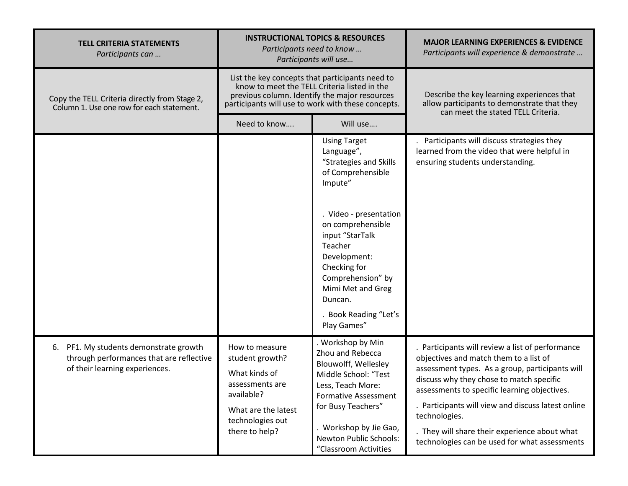| <b>TELL CRITERIA STATEMENTS</b><br>Participants can                                                                     | <b>INSTRUCTIONAL TOPICS &amp; RESOURCES</b><br>Participants need to know<br>Participants will use                                                                                                      |                                                                                                                                                                                                                                              | <b>MAJOR LEARNING EXPERIENCES &amp; EVIDENCE</b><br>Participants will experience & demonstrate                                                                                                                                                                                                                                                                                                                     |  |
|-------------------------------------------------------------------------------------------------------------------------|--------------------------------------------------------------------------------------------------------------------------------------------------------------------------------------------------------|----------------------------------------------------------------------------------------------------------------------------------------------------------------------------------------------------------------------------------------------|--------------------------------------------------------------------------------------------------------------------------------------------------------------------------------------------------------------------------------------------------------------------------------------------------------------------------------------------------------------------------------------------------------------------|--|
| Copy the TELL Criteria directly from Stage 2,<br>Column 1. Use one row for each statement.                              | List the key concepts that participants need to<br>know to meet the TELL Criteria listed in the<br>previous column. Identify the major resources<br>participants will use to work with these concepts. |                                                                                                                                                                                                                                              | Describe the key learning experiences that<br>allow participants to demonstrate that they<br>can meet the stated TELL Criteria.                                                                                                                                                                                                                                                                                    |  |
|                                                                                                                         | Need to know                                                                                                                                                                                           | Will use                                                                                                                                                                                                                                     |                                                                                                                                                                                                                                                                                                                                                                                                                    |  |
|                                                                                                                         |                                                                                                                                                                                                        | <b>Using Target</b><br>Language",<br>"Strategies and Skills<br>of Comprehensible<br>Impute"                                                                                                                                                  | Participants will discuss strategies they<br>learned from the video that were helpful in<br>ensuring students understanding.                                                                                                                                                                                                                                                                                       |  |
|                                                                                                                         |                                                                                                                                                                                                        | . Video - presentation<br>on comprehensible<br>input "StarTalk<br>Teacher<br>Development:<br>Checking for<br>Comprehension" by<br>Mimi Met and Greg<br>Duncan.<br>. Book Reading "Let's<br>Play Games"                                       |                                                                                                                                                                                                                                                                                                                                                                                                                    |  |
| 6.<br>PF1. My students demonstrate growth<br>through performances that are reflective<br>of their learning experiences. | How to measure<br>student growth?<br>What kinds of<br>assessments are<br>available?<br>What are the latest<br>technologies out<br>there to help?                                                       | . Workshop by Min<br>Zhou and Rebecca<br>Blouwolff, Wellesley<br>Middle School: "Test<br>Less, Teach More:<br><b>Formative Assessment</b><br>for Busy Teachers"<br>. Workshop by Jie Gao,<br>Newton Public Schools:<br>"Classroom Activities | . Participants will review a list of performance<br>objectives and match them to a list of<br>assessment types. As a group, participants will<br>discuss why they chose to match specific<br>assessments to specific learning objectives.<br>. Participants will view and discuss latest online<br>technologies.<br>. They will share their experience about what<br>technologies can be used for what assessments |  |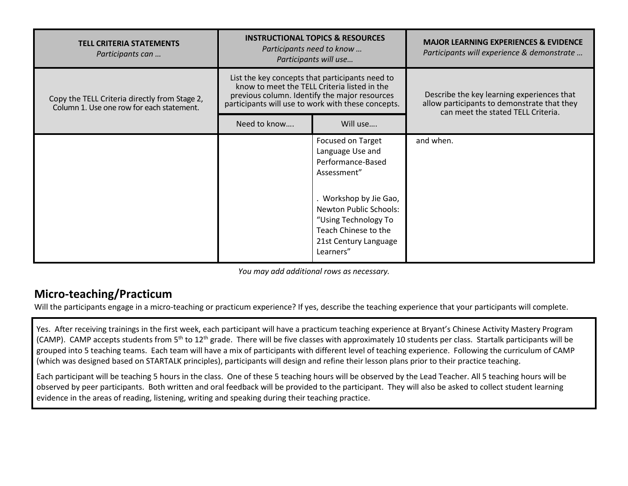| <b>TELL CRITERIA STATEMENTS</b><br>Participants can                                        | <b>INSTRUCTIONAL TOPICS &amp; RESOURCES</b><br>Participants need to know<br>Participants will use                                                                                                      |                                                                                                                                                                                                                            | <b>MAJOR LEARNING EXPERIENCES &amp; EVIDENCE</b><br>Participants will experience & demonstrate                                  |  |
|--------------------------------------------------------------------------------------------|--------------------------------------------------------------------------------------------------------------------------------------------------------------------------------------------------------|----------------------------------------------------------------------------------------------------------------------------------------------------------------------------------------------------------------------------|---------------------------------------------------------------------------------------------------------------------------------|--|
| Copy the TELL Criteria directly from Stage 2,<br>Column 1. Use one row for each statement. | List the key concepts that participants need to<br>know to meet the TELL Criteria listed in the<br>previous column. Identify the major resources<br>participants will use to work with these concepts. |                                                                                                                                                                                                                            | Describe the key learning experiences that<br>allow participants to demonstrate that they<br>can meet the stated TELL Criteria. |  |
|                                                                                            | Need to know                                                                                                                                                                                           | Will use                                                                                                                                                                                                                   |                                                                                                                                 |  |
|                                                                                            |                                                                                                                                                                                                        | Focused on Target<br>Language Use and<br>Performance-Based<br>Assessment"<br>. Workshop by Jie Gao,<br><b>Newton Public Schools:</b><br>"Using Technology To<br>Teach Chinese to the<br>21st Century Language<br>Learners" | and when.                                                                                                                       |  |

*You may add additional rows as necessary.*

# **Micro-teaching/Practicum**

Will the participants engage in a micro-teaching or practicum experience? If yes, describe the teaching experience that your participants will complete.

Yes. After receiving trainings in the first week, each participant will have a practicum teaching experience at Bryant's Chinese Activity Mastery Program (CAMP). CAMP accepts students from 5<sup>th</sup> to 12<sup>th</sup> grade. There will be five classes with approximately 10 students per class. Startalk participants will be grouped into 5 teaching teams. Each team will have a mix of participants with different level of teaching experience. Following the curriculum of CAMP (which was designed based on STARTALK principles), participants will design and refine their lesson plans prior to their practice teaching.

Each participant will be teaching 5 hours in the class. One of these 5 teaching hours will be observed by the Lead Teacher. All 5 teaching hours will be observed by peer participants. Both written and oral feedback will be provided to the participant. They will also be asked to collect student learning evidence in the areas of reading, listening, writing and speaking during their teaching practice.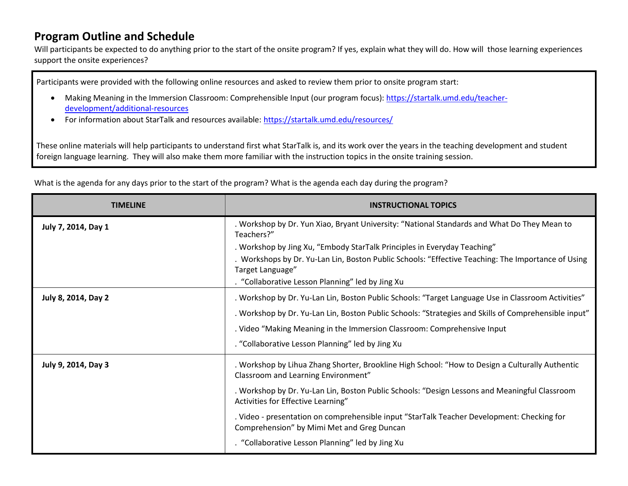# **Program Outline and Schedule**

Will participants be expected to do anything prior to the start of the onsite program? If yes, explain what they will do. How will those learning experiences support the onsite experiences?

Participants were provided with the following online resources and asked to review them prior to onsite program start:

- Making Meaning in the Immersion Classroom: Comprehensible Input (our program focus): [https://startalk.umd.edu/teacher](https://startalk.umd.edu/teacher-development/additional-resources)[development/additional-resources](https://startalk.umd.edu/teacher-development/additional-resources)
- For information about StarTalk and resources available: https://startalk.umd.edu/resources/

These online materials will help participants to understand first what StarTalk is, and its work over the years in the teaching development and student foreign language learning. They will also make them more familiar with the instruction topics in the onsite training session.

What is the agenda for any days prior to the start of the program? What is the agenda each day during the program?

| <b>TIMELINE</b>     | <b>INSTRUCTIONAL TOPICS</b>                                                                                                              |
|---------------------|------------------------------------------------------------------------------------------------------------------------------------------|
| July 7, 2014, Day 1 | . Workshop by Dr. Yun Xiao, Bryant University: "National Standards and What Do They Mean to<br>Teachers?"                                |
|                     | . Workshop by Jing Xu, "Embody StarTalk Principles in Everyday Teaching"                                                                 |
|                     | . Workshops by Dr. Yu-Lan Lin, Boston Public Schools: "Effective Teaching: The Importance of Using<br>Target Language"                   |
|                     | . "Collaborative Lesson Planning" led by Jing Xu                                                                                         |
| July 8, 2014, Day 2 | . Workshop by Dr. Yu-Lan Lin, Boston Public Schools: "Target Language Use in Classroom Activities"                                       |
|                     | "Workshop by Dr. Yu-Lan Lin, Boston Public Schools: "Strategies and Skills of Comprehensible input                                       |
|                     | . Video "Making Meaning in the Immersion Classroom: Comprehensive Input                                                                  |
|                     | . "Collaborative Lesson Planning" led by Jing Xu                                                                                         |
| July 9, 2014, Day 3 | . Workshop by Lihua Zhang Shorter, Brookline High School: "How to Design a Culturally Authentic<br>Classroom and Learning Environment"   |
|                     | . Workshop by Dr. Yu-Lan Lin, Boston Public Schools: "Design Lessons and Meaningful Classroom<br>Activities for Effective Learning"      |
|                     | . Video - presentation on comprehensible input "StarTalk Teacher Development: Checking for<br>Comprehension" by Mimi Met and Greg Duncan |
|                     | . "Collaborative Lesson Planning" led by Jing Xu                                                                                         |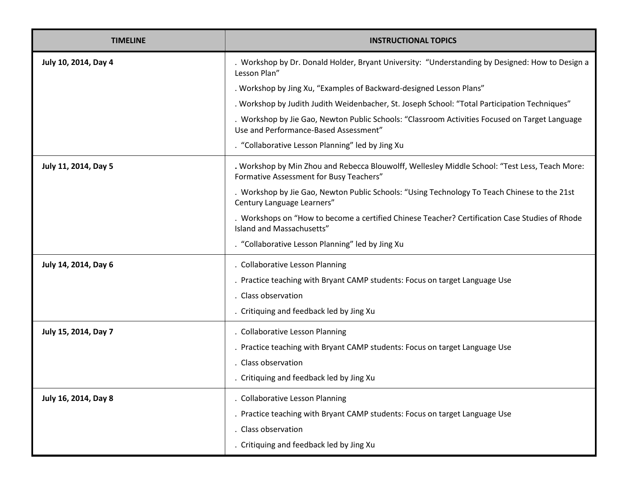| <b>TIMELINE</b>      | <b>INSTRUCTIONAL TOPICS</b>                                                                                                               |
|----------------------|-------------------------------------------------------------------------------------------------------------------------------------------|
| July 10, 2014, Day 4 | . Workshop by Dr. Donald Holder, Bryant University: "Understanding by Designed: How to Design a<br>Lesson Plan"                           |
|                      | . Workshop by Jing Xu, "Examples of Backward-designed Lesson Plans"                                                                       |
|                      | . Workshop by Judith Judith Weidenbacher, St. Joseph School: "Total Participation Techniques"                                             |
|                      | . Workshop by Jie Gao, Newton Public Schools: "Classroom Activities Focused on Target Language<br>Use and Performance-Based Assessment"   |
|                      | . "Collaborative Lesson Planning" led by Jing Xu                                                                                          |
| July 11, 2014, Day 5 | . Workshop by Min Zhou and Rebecca Blouwolff, Wellesley Middle School: "Test Less, Teach More:<br>Formative Assessment for Busy Teachers" |
|                      | . Workshop by Jie Gao, Newton Public Schools: "Using Technology To Teach Chinese to the 21st<br>Century Language Learners"                |
|                      | . Workshops on "How to become a certified Chinese Teacher? Certification Case Studies of Rhode<br>Island and Massachusetts"               |
|                      | . "Collaborative Lesson Planning" led by Jing Xu                                                                                          |
| July 14, 2014, Day 6 | . Collaborative Lesson Planning                                                                                                           |
|                      | . Practice teaching with Bryant CAMP students: Focus on target Language Use                                                               |
|                      | . Class observation                                                                                                                       |
|                      | . Critiquing and feedback led by Jing Xu                                                                                                  |
| July 15, 2014, Day 7 | . Collaborative Lesson Planning                                                                                                           |
|                      | . Practice teaching with Bryant CAMP students: Focus on target Language Use                                                               |
|                      | . Class observation                                                                                                                       |
|                      | . Critiquing and feedback led by Jing Xu                                                                                                  |
| July 16, 2014, Day 8 | . Collaborative Lesson Planning                                                                                                           |
|                      | . Practice teaching with Bryant CAMP students: Focus on target Language Use                                                               |
|                      | . Class observation                                                                                                                       |
|                      | . Critiquing and feedback led by Jing Xu                                                                                                  |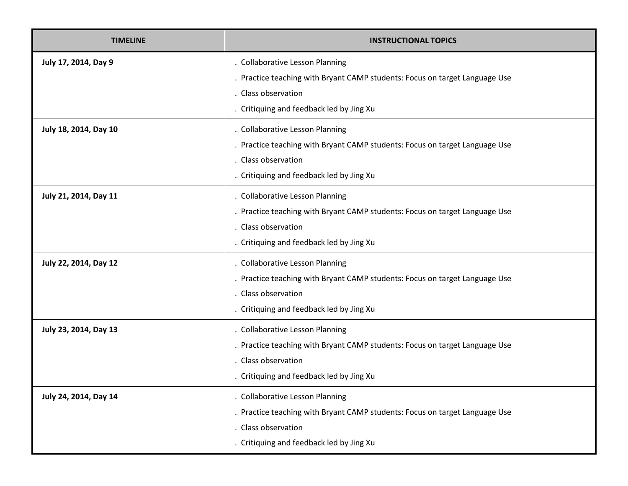| <b>TIMELINE</b>       | INSTRUCTIONAL TOPICS                                                                                                                                                              |
|-----------------------|-----------------------------------------------------------------------------------------------------------------------------------------------------------------------------------|
| July 17, 2014, Day 9  | . Collaborative Lesson Planning<br>. Practice teaching with Bryant CAMP students: Focus on target Language Use<br>. Class observation<br>. Critiquing and feedback led by Jing Xu |
| July 18, 2014, Day 10 | . Collaborative Lesson Planning<br>. Practice teaching with Bryant CAMP students: Focus on target Language Use<br>. Class observation<br>. Critiquing and feedback led by Jing Xu |
| July 21, 2014, Day 11 | . Collaborative Lesson Planning<br>. Practice teaching with Bryant CAMP students: Focus on target Language Use<br>. Class observation<br>. Critiquing and feedback led by Jing Xu |
| July 22, 2014, Day 12 | . Collaborative Lesson Planning<br>. Practice teaching with Bryant CAMP students: Focus on target Language Use<br>. Class observation<br>. Critiquing and feedback led by Jing Xu |
| July 23, 2014, Day 13 | . Collaborative Lesson Planning<br>. Practice teaching with Bryant CAMP students: Focus on target Language Use<br>. Class observation<br>. Critiquing and feedback led by Jing Xu |
| July 24, 2014, Day 14 | . Collaborative Lesson Planning<br>Practice teaching with Bryant CAMP students: Focus on target Language Use<br>. Class observation<br>. Critiquing and feedback led by Jing Xu   |